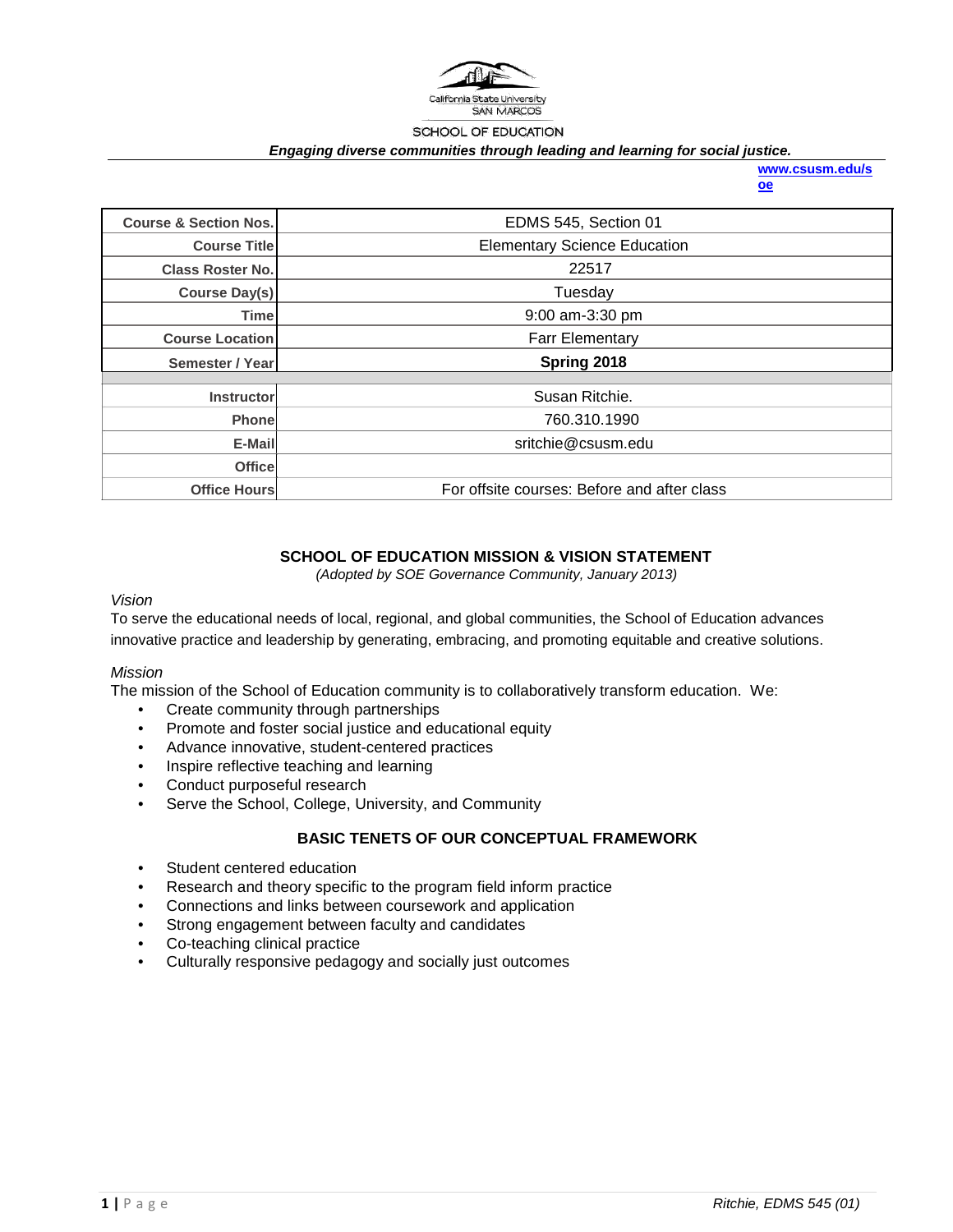

#### SCHOOL OF EDUCATION

#### *Engaging diverse communities through leading and learning for social justice.*

**[www.csusm.edu/s](http://www.csusm.edu/soe) [oe](http://www.csusm.edu/soe)**

| <b>Course &amp; Section Nos.</b> | EDMS 545, Section 01                        |  |  |
|----------------------------------|---------------------------------------------|--|--|
| <b>Course Title</b>              | <b>Elementary Science Education</b>         |  |  |
| <b>Class Roster No.</b>          | 22517                                       |  |  |
| <b>Course Day(s)</b>             | Tuesday                                     |  |  |
| <b>Time</b>                      | 9:00 am-3:30 pm                             |  |  |
| <b>Course Location</b>           | <b>Farr Elementary</b>                      |  |  |
| Semester / Year                  | Spring 2018                                 |  |  |
|                                  |                                             |  |  |
| <b>Instructor</b>                | Susan Ritchie.                              |  |  |
| Phone                            | 760.310.1990                                |  |  |
| E-Mail                           | sritchie@csusm.edu                          |  |  |
| <b>Office</b>                    |                                             |  |  |
| <b>Office Hours</b>              | For offsite courses: Before and after class |  |  |

## **SCHOOL OF EDUCATION MISSION & VISION STATEMENT**

*(Adopted by SOE Governance Community, January 2013)*

#### *Vision*

To serve the educational needs of local, regional, and global communities, the School of Education advances innovative practice and leadership by generating, embracing, and promoting equitable and creative solutions.

#### *Mission*

The mission of the School of Education community is to collaboratively transform education. We:

- Create community through partnerships
- Promote and foster social justice and educational equity
- Advance innovative, student-centered practices
- Inspire reflective teaching and learning
- Conduct purposeful research
- Serve the School, College, University, and Community

## **BASIC TENETS OF OUR CONCEPTUAL FRAMEWORK**

- Student centered education
- Research and theory specific to the program field inform practice
- Connections and links between coursework and application
- Strong engagement between faculty and candidates
- Co-teaching clinical practice
- Culturally responsive pedagogy and socially just outcomes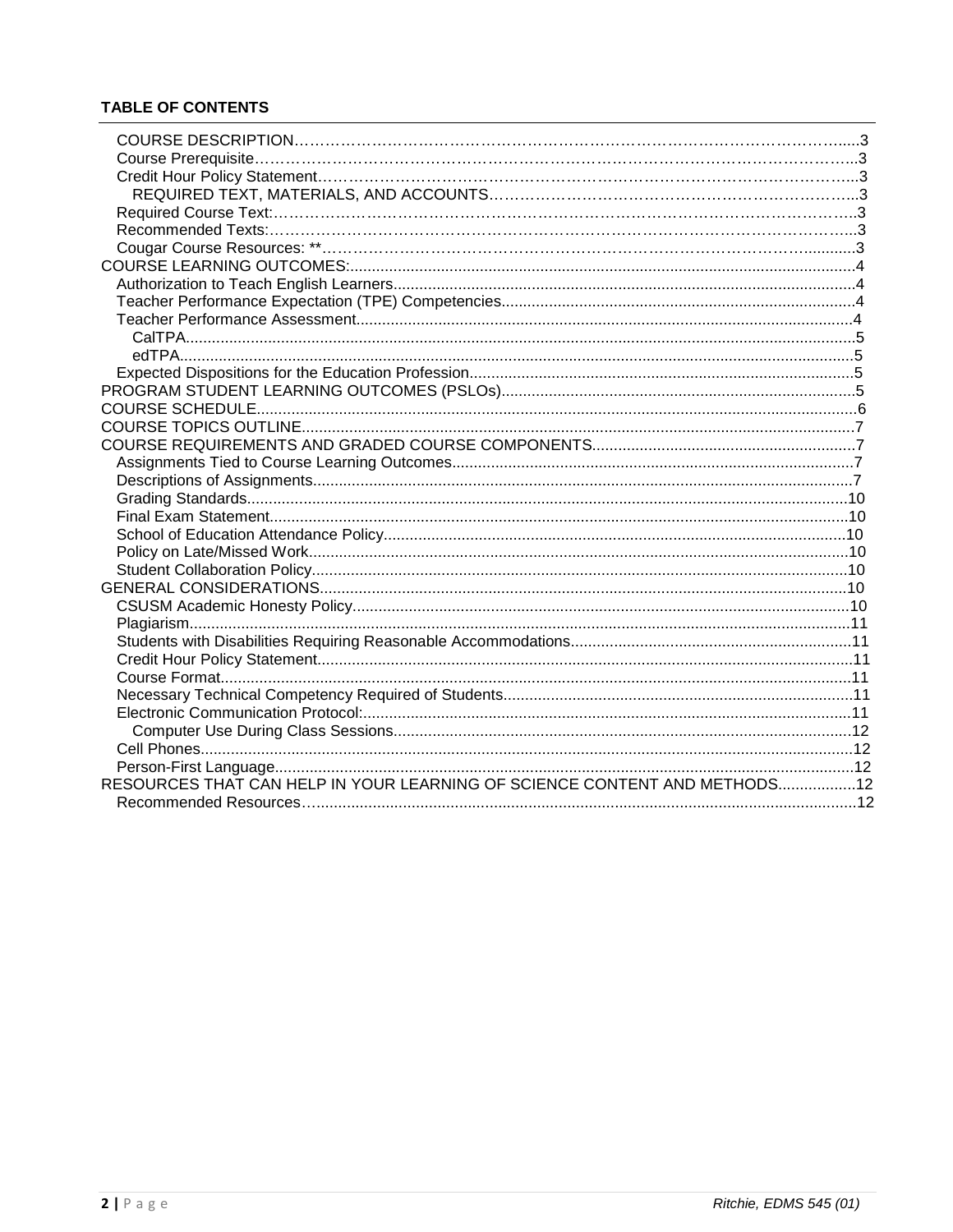# **TABLE OF CONTENTS**

| RESOURCES THAT CAN HELP IN YOUR LEARNING OF SCIENCE CONTENT AND METHODS12 |  |
|---------------------------------------------------------------------------|--|
|                                                                           |  |
|                                                                           |  |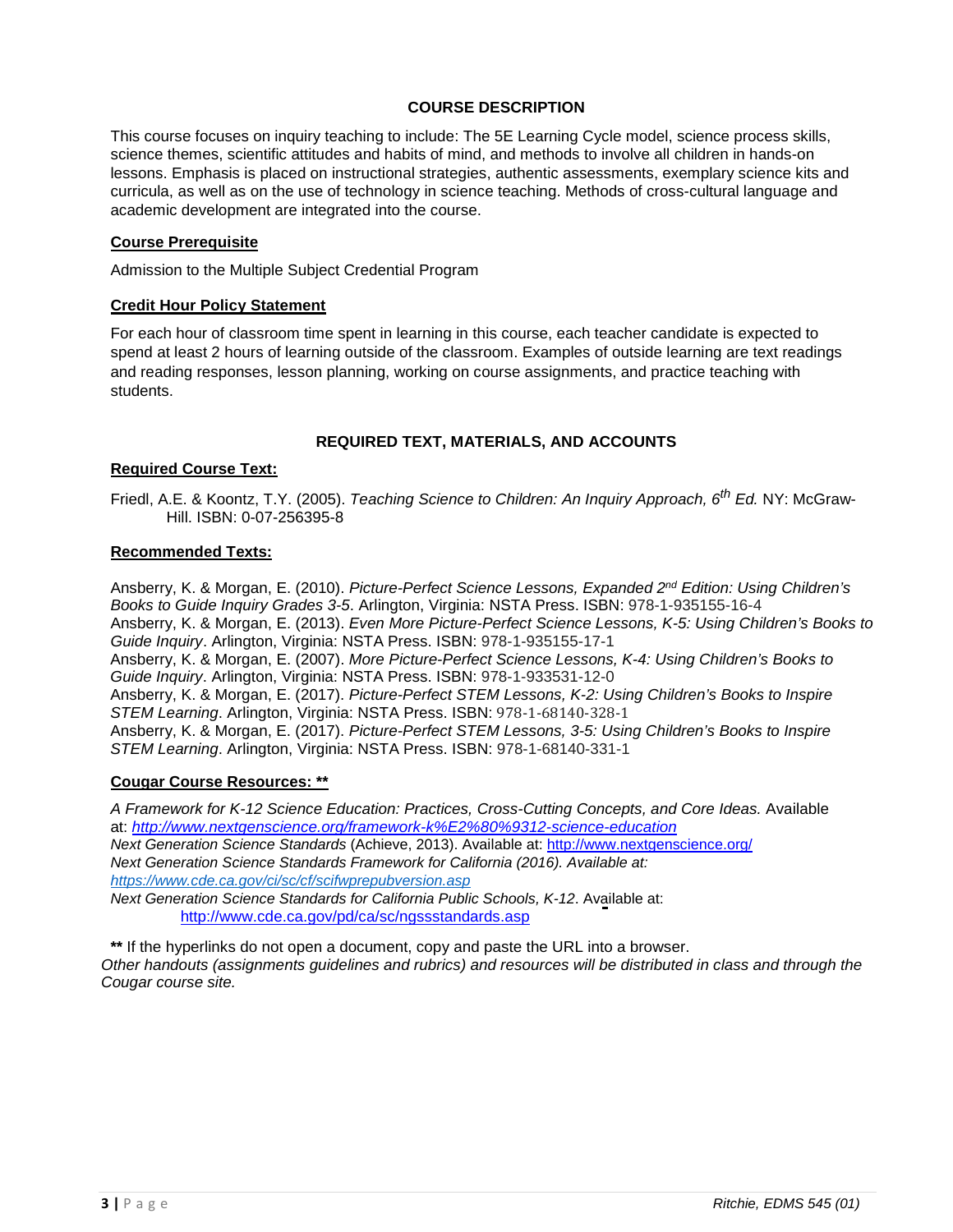## **COURSE DESCRIPTION**

This course focuses on inquiry teaching to include: The 5E Learning Cycle model, science process skills, science themes, scientific attitudes and habits of mind, and methods to involve all children in hands-on lessons. Emphasis is placed on instructional strategies, authentic assessments, exemplary science kits and curricula, as well as on the use of technology in science teaching. Methods of cross-cultural language and academic development are integrated into the course.

## **Course Prerequisite**

Admission to the Multiple Subject Credential Program

## **Credit Hour Policy Statement**

For each hour of classroom time spent in learning in this course, each teacher candidate is expected to spend at least 2 hours of learning outside of the classroom. Examples of outside learning are text readings and reading responses, lesson planning, working on course assignments, and practice teaching with students.

## **REQUIRED TEXT, MATERIALS, AND ACCOUNTS**

## **Required Course Text:**

Friedl, A.E. & Koontz, T.Y. (2005). *Teaching Science to Children: An Inquiry Approach, 6th Ed.* NY: McGraw-Hill. ISBN: 0-07-256395-8

## **Recommended Texts:**

Ansberry, K. & Morgan, E. (2010). *Picture-Perfect Science Lessons, Expanded 2nd Edition: Using Children's Books to Guide Inquiry Grades 3-5*. Arlington, Virginia: NSTA Press. ISBN: 978-1-935155-16-4 Ansberry, K. & Morgan, E. (2013). *Even More Picture-Perfect Science Lessons, K-5: Using Children's Books to Guide Inquiry*. Arlington, Virginia: NSTA Press. ISBN: 978-1-935155-17-1 Ansberry, K. & Morgan, E. (2007). *More Picture-Perfect Science Lessons, K-4: Using Children's Books to Guide Inquiry*. Arlington, Virginia: NSTA Press. ISBN: 978-1-933531-12-0 Ansberry, K. & Morgan, E. (2017). *Picture-Perfect STEM Lessons, K-2: Using Children's Books to Inspire STEM Learning*. Arlington, Virginia: NSTA Press. ISBN: 978-1-68140-328-1 Ansberry, K. & Morgan, E. (2017). *Picture-Perfect STEM Lessons, 3-5: Using Children's Books to Inspire STEM Learning*. Arlington, Virginia: NSTA Press. ISBN: 978-1-68140-331-1

## **Cougar Course Resources: \*\***

*A Framework for K-12 Science Education: Practices, Cross-Cutting Concepts, and Core Ideas.* Available at: *<http://www.nextgenscience.org/framework-k%E2%80%9312-science-education> Next Generation Science Standards* (Achieve, 2013). Available at: <http://www.nextgenscience.org/> *Next Generation Science Standards Framework for California (2016). Available at: <https://www.cde.ca.gov/ci/sc/cf/scifwprepubversion.asp> Next Generation Science Standards for California Public Schools, K-12*. Available at: <http://www.cde.ca.gov/pd/ca/sc/ngssstandards.asp>

**\*\*** If the hyperlinks do not open a document, copy and paste the URL into a browser. *Other handouts (assignments guidelines and rubrics) and resources will be distributed in class and through the Cougar course site.*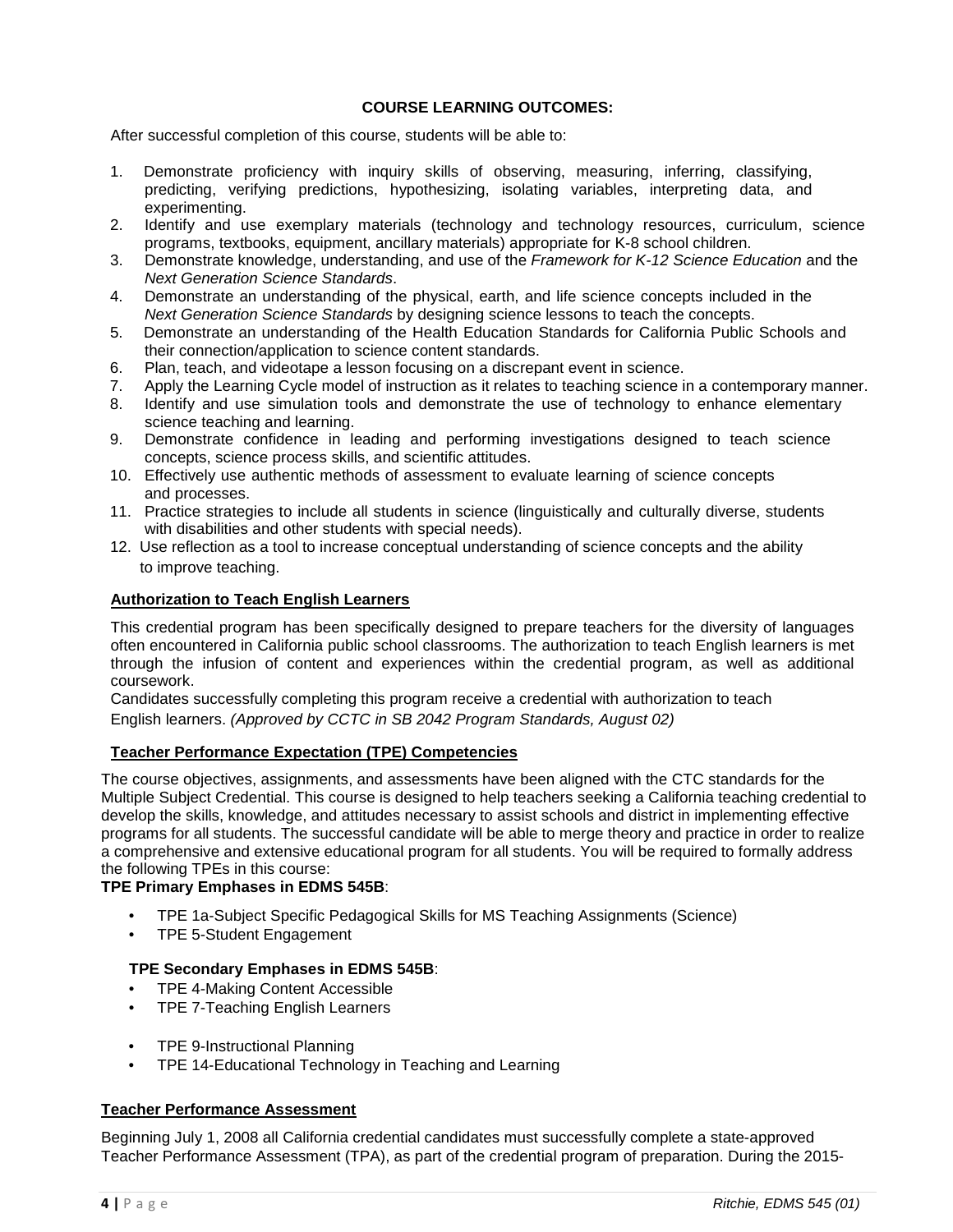## **COURSE LEARNING OUTCOMES:**

After successful completion of this course, students will be able to:

- 1. Demonstrate proficiency with inquiry skills of observing, measuring, inferring, classifying, predicting, verifying predictions, hypothesizing, isolating variables, interpreting data, and experimenting.
- 2. Identify and use exemplary materials (technology and technology resources, curriculum, science programs, textbooks, equipment, ancillary materials) appropriate for K-8 school children.
- 3. Demonstrate knowledge, understanding, and use of the *Framework for K-12 Science Education* and the *Next Generation Science Standards*.
- 4. Demonstrate an understanding of the physical, earth, and life science concepts included in the *Next Generation Science Standards* by designing science lessons to teach the concepts.
- 5. Demonstrate an understanding of the Health Education Standards for California Public Schools and their connection/application to science content standards.
- 6. Plan, teach, and videotape a lesson focusing on a discrepant event in science.
- 7. Apply the Learning Cycle model of instruction as it relates to teaching science in a contemporary manner.
- 8. Identify and use simulation tools and demonstrate the use of technology to enhance elementary science teaching and learning.
- 9. Demonstrate confidence in leading and performing investigations designed to teach science concepts, science process skills, and scientific attitudes.
- 10. Effectively use authentic methods of assessment to evaluate learning of science concepts and processes.
- 11. Practice strategies to include all students in science (linguistically and culturally diverse, students with disabilities and other students with special needs).
- 12. Use reflection as a tool to increase conceptual understanding of science concepts and the ability to improve teaching.

## **Authorization to Teach English Learners**

This credential program has been specifically designed to prepare teachers for the diversity of languages often encountered in California public school classrooms. The authorization to teach English learners is met through the infusion of content and experiences within the credential program, as well as additional coursework.

Candidates successfully completing this program receive a credential with authorization to teach English learners. *(Approved by CCTC in SB 2042 Program Standards, August 02)*

#### **Teacher Performance Expectation (TPE) Competencies**

The course objectives, assignments, and assessments have been aligned with the CTC standards for the Multiple Subject Credential. This course is designed to help teachers seeking a California teaching credential to develop the skills, knowledge, and attitudes necessary to assist schools and district in implementing effective programs for all students. The successful candidate will be able to merge theory and practice in order to realize a comprehensive and extensive educational program for all students. You will be required to formally address the following TPEs in this course:

### **TPE Primary Emphases in EDMS 545B**:

- TPE 1a-Subject Specific Pedagogical Skills for MS Teaching Assignments (Science)
- TPE 5-Student Engagement

#### **TPE Secondary Emphases in EDMS 545B**:

- TPE 4-Making Content Accessible
- TPE 7-Teaching English Learners
- TPE 9-Instructional Planning
- TPE 14-Educational Technology in Teaching and Learning

#### **Teacher Performance Assessment**

Beginning July 1, 2008 all California credential candidates must successfully complete a state-approved Teacher Performance Assessment (TPA), as part of the credential program of preparation. During the 2015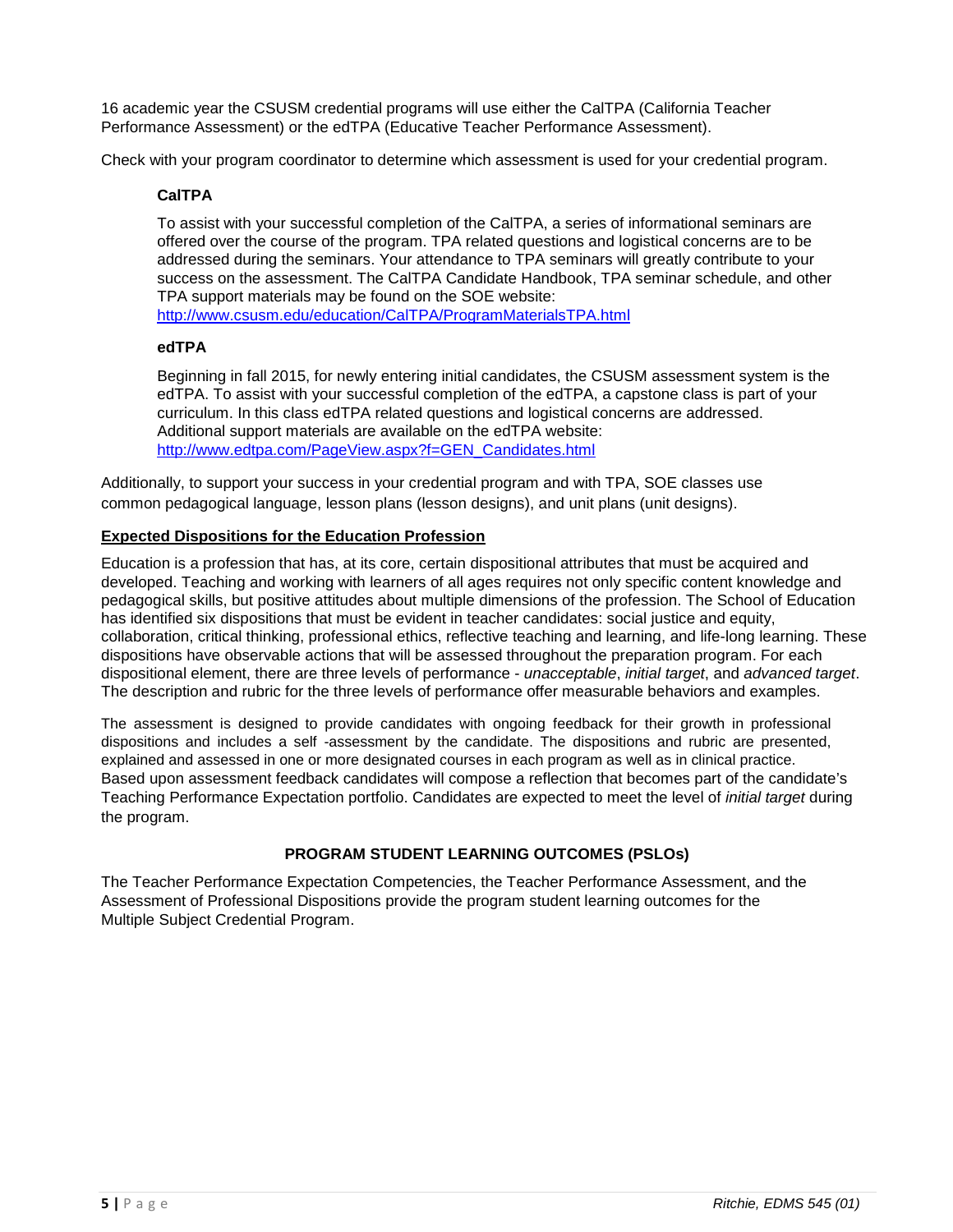16 academic year the CSUSM credential programs will use either the CalTPA (California Teacher Performance Assessment) or the edTPA (Educative Teacher Performance Assessment).

Check with your program coordinator to determine which assessment is used for your credential program.

## **CalTPA**

To assist with your successful completion of the CalTPA, a series of informational seminars are offered over the course of the program. TPA related questions and logistical concerns are to be addressed during the seminars. Your attendance to TPA seminars will greatly contribute to your success on the assessment. The CalTPA Candidate Handbook, TPA seminar schedule, and other TPA support materials may be found on the SOE website: <http://www.csusm.edu/education/CalTPA/ProgramMaterialsTPA.html>

## **edTPA**

Beginning in fall 2015, for newly entering initial candidates, the CSUSM assessment system is the edTPA. To assist with your successful completion of the edTPA, a capstone class is part of your curriculum. In this class edTPA related questions and logistical concerns are addressed. Additional support materials are available on the edTPA website: [http://www.edtpa.com/PageView.aspx?f=GEN\\_Candidates.html](http://www.edtpa.com/PageView.aspx?f=GEN_Candidates.html)

Additionally, to support your success in your credential program and with TPA, SOE classes use common pedagogical language, lesson plans (lesson designs), and unit plans (unit designs).

## **Expected Dispositions for the Education Profession**

Education is a profession that has, at its core, certain dispositional attributes that must be acquired and developed. Teaching and working with learners of all ages requires not only specific content knowledge and pedagogical skills, but positive attitudes about multiple dimensions of the profession. The School of Education has identified six dispositions that must be evident in teacher candidates: social justice and equity, collaboration, critical thinking, professional ethics, reflective teaching and learning, and life-long learning. These dispositions have observable actions that will be assessed throughout the preparation program. For each dispositional element, there are three levels of performance - *unacceptable*, *initial target*, and *advanced target*. The description and rubric for the three levels of performance offer measurable behaviors and examples.

The assessment is designed to provide candidates with ongoing feedback for their growth in professional dispositions and includes a self -assessment by the candidate. The dispositions and rubric are presented, explained and assessed in one or more designated courses in each program as well as in clinical practice. Based upon assessment feedback candidates will compose a reflection that becomes part of the candidate's Teaching Performance Expectation portfolio. Candidates are expected to meet the level of *initial target* during the program.

## **PROGRAM STUDENT LEARNING OUTCOMES (PSLOs)**

The Teacher Performance Expectation Competencies, the Teacher Performance Assessment, and the Assessment of Professional Dispositions provide the program student learning outcomes for the Multiple Subject Credential Program.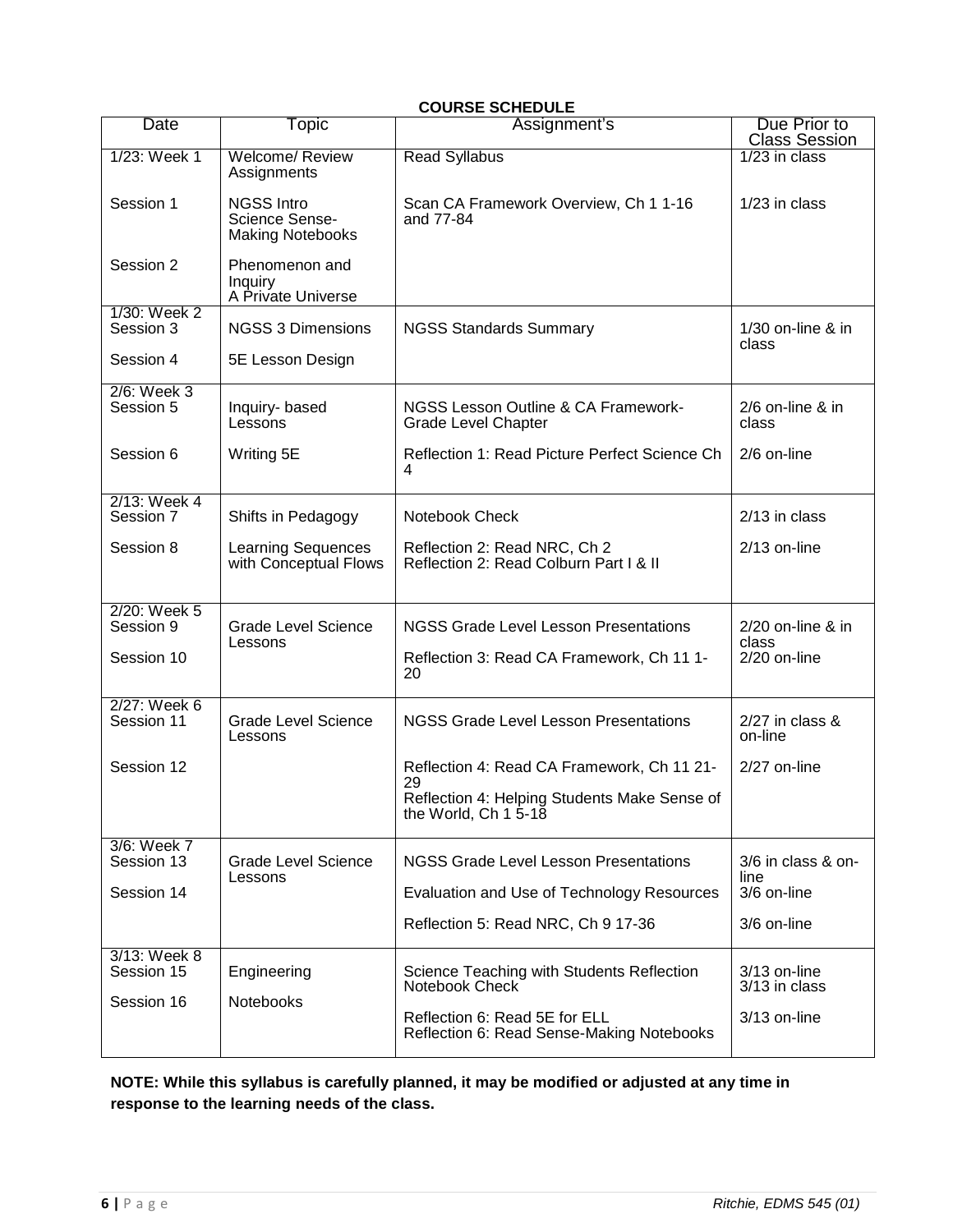## **COURSE SCHEDULE**

| Date                                     | Topic                                                          | Assignment's                                                                                                                              | Due Prior to<br><b>Class Session</b>                     |
|------------------------------------------|----------------------------------------------------------------|-------------------------------------------------------------------------------------------------------------------------------------------|----------------------------------------------------------|
| 1/23: Week 1                             | <b>Welcome/ Review</b><br>Assignments                          | <b>Read Syllabus</b>                                                                                                                      | $1/23$ in class                                          |
| Session 1                                | <b>NGSS Intro</b><br>Science Sense-<br><b>Making Notebooks</b> | Scan CA Framework Overview, Ch 1 1-16<br>and 77-84                                                                                        | 1/23 in class                                            |
| Session 2                                | Phenomenon and<br>Inquiry<br>A Private Universe                |                                                                                                                                           |                                                          |
| 1/30: Week 2<br>Session 3                | <b>NGSS 3 Dimensions</b>                                       | <b>NGSS Standards Summary</b>                                                                                                             | $1/30$ on-line $&$ in<br>class                           |
| Session 4                                | 5E Lesson Design                                               |                                                                                                                                           |                                                          |
| 2/6: Week 3<br>Session 5                 | Inquiry- based<br>Lessons                                      | NGSS Lesson Outline & CA Framework-<br><b>Grade Level Chapter</b>                                                                         | $2/6$ on-line & in<br>class                              |
| Session 6                                | Writing 5E                                                     | Reflection 1: Read Picture Perfect Science Ch<br>4                                                                                        | 2/6 on-line                                              |
| 2/13: Week 4<br>Session 7                | Shifts in Pedagogy                                             | Notebook Check                                                                                                                            | 2/13 in class                                            |
| Session 8                                | <b>Learning Sequences</b><br>with Conceptual Flows             | Reflection 2: Read NRC, Ch 2<br>Reflection 2: Read Colburn Part I & II                                                                    | $2/13$ on-line                                           |
| 2/20: Week 5<br>Session 9<br>Session 10  | <b>Grade Level Science</b><br>Lessons                          | <b>NGSS Grade Level Lesson Presentations</b><br>Reflection 3: Read CA Framework, Ch 11 1-<br>20                                           | $2/20$ on-line & in<br>class<br>2/20 on-line             |
| 2/27: Week 6<br>Session 11               | <b>Grade Level Science</b><br>Lessons                          | <b>NGSS Grade Level Lesson Presentations</b>                                                                                              | $2/27$ in class $&$<br>on-line                           |
| Session 12                               |                                                                | Reflection 4: Read CA Framework, Ch 11 21-<br>29<br>Reflection 4: Helping Students Make Sense of<br>the World, Ch 1 5-18                  | 2/27 on-line                                             |
| 3/6: Week 7<br>Session 13<br>Session 14  | <b>Grade Level Science</b><br>Lessons                          | <b>NGSS Grade Level Lesson Presentations</b><br>Evaluation and Use of Technology Resources<br>Reflection 5: Read NRC, Ch 9 17-36          | 3/6 in class & on-<br>line<br>3/6 on-line<br>3/6 on-line |
| 3/13: Week 8<br>Session 15<br>Session 16 | Engineering<br><b>Notebooks</b>                                | Science Teaching with Students Reflection<br>Notebook Check<br>Reflection 6: Read 5E for ELL<br>Reflection 6: Read Sense-Making Notebooks | $3/13$ on-line<br>3/13 in class<br>3/13 on-line          |

**NOTE: While this syllabus is carefully planned, it may be modified or adjusted at any time in response to the learning needs of the class.**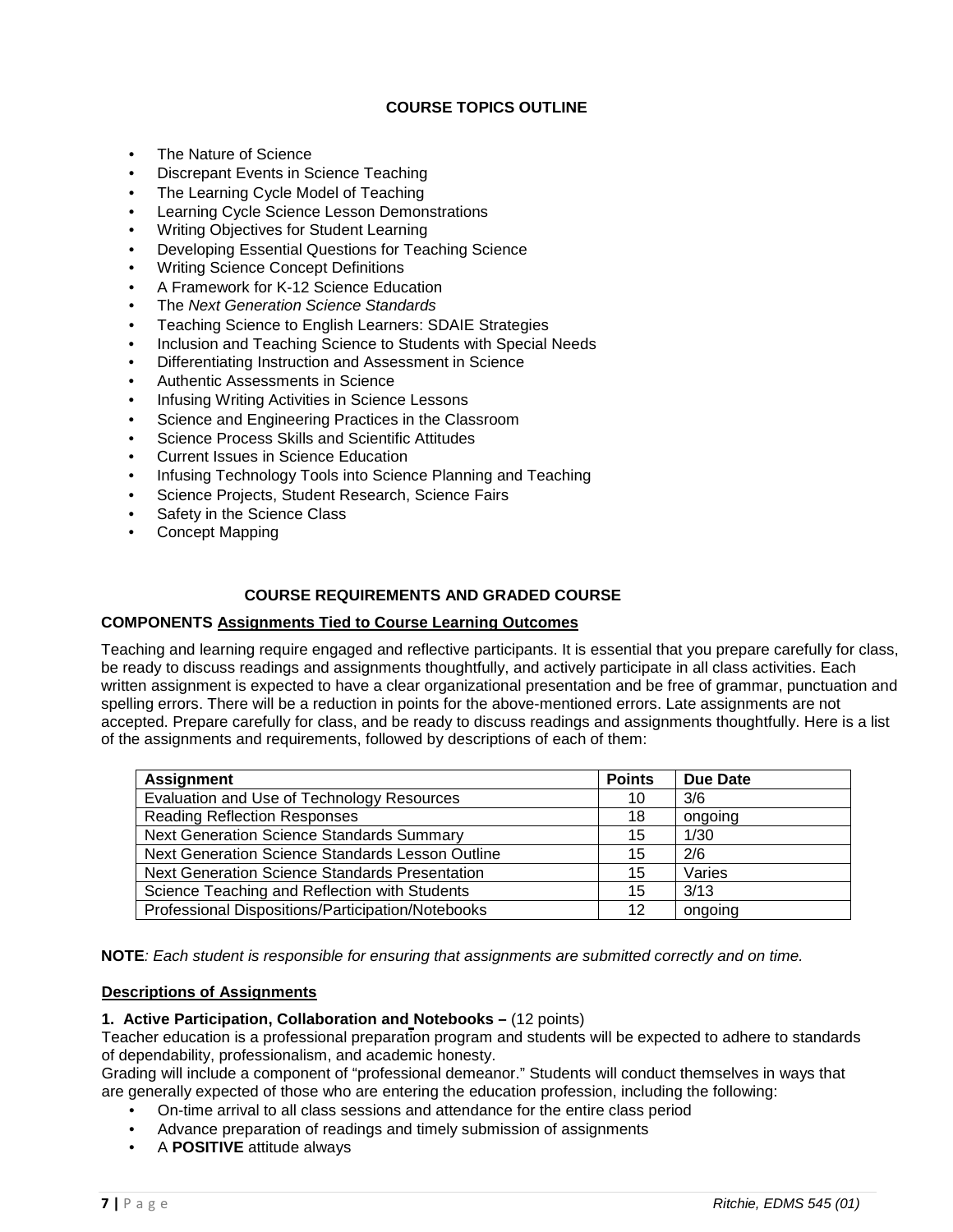## **COURSE TOPICS OUTLINE**

- The Nature of Science
- Discrepant Events in Science Teaching
- The Learning Cycle Model of Teaching
- Learning Cycle Science Lesson Demonstrations
- Writing Objectives for Student Learning
- Developing Essential Questions for Teaching Science
- Writing Science Concept Definitions
- A Framework for K-12 Science Education
- The *Next Generation Science Standards*
- Teaching Science to English Learners: SDAIE Strategies
- Inclusion and Teaching Science to Students with Special Needs
- Differentiating Instruction and Assessment in Science
- Authentic Assessments in Science
- Infusing Writing Activities in Science Lessons
- Science and Engineering Practices in the Classroom
- Science Process Skills and Scientific Attitudes
- Current Issues in Science Education
- Infusing Technology Tools into Science Planning and Teaching
- Science Projects, Student Research, Science Fairs
- Safety in the Science Class
- Concept Mapping

## **COURSE REQUIREMENTS AND GRADED COURSE**

#### **COMPONENTS Assignments Tied to Course Learning Outcomes**

Teaching and learning require engaged and reflective participants. It is essential that you prepare carefully for class, be ready to discuss readings and assignments thoughtfully, and actively participate in all class activities. Each written assignment is expected to have a clear organizational presentation and be free of grammar, punctuation and spelling errors. There will be a reduction in points for the above-mentioned errors. Late assignments are not accepted. Prepare carefully for class, and be ready to discuss readings and assignments thoughtfully. Here is a list of the assignments and requirements, followed by descriptions of each of them:

| <b>Assignment</b>                                 |    | Due Date |
|---------------------------------------------------|----|----------|
| Evaluation and Use of Technology Resources        | 10 | 3/6      |
| <b>Reading Reflection Responses</b>               | 18 | ongoing  |
| <b>Next Generation Science Standards Summary</b>  | 15 | 1/30     |
| Next Generation Science Standards Lesson Outline  | 15 | 2/6      |
| Next Generation Science Standards Presentation    | 15 | Varies   |
| Science Teaching and Reflection with Students     | 15 | 3/13     |
| Professional Dispositions/Participation/Notebooks | 12 | ongoing  |

**NOTE***: Each student is responsible for ensuring that assignments are submitted correctly and on time.*

## **Descriptions of Assignments**

#### **1. Active Participation, Collaboration and Notebooks –** (12 points)

Teacher education is a professional preparation program and students will be expected to adhere to standards of dependability, professionalism, and academic honesty.

Grading will include a component of "professional demeanor." Students will conduct themselves in ways that are generally expected of those who are entering the education profession, including the following:

- On-time arrival to all class sessions and attendance for the entire class period
- Advance preparation of readings and timely submission of assignments
- A **POSITIVE** attitude always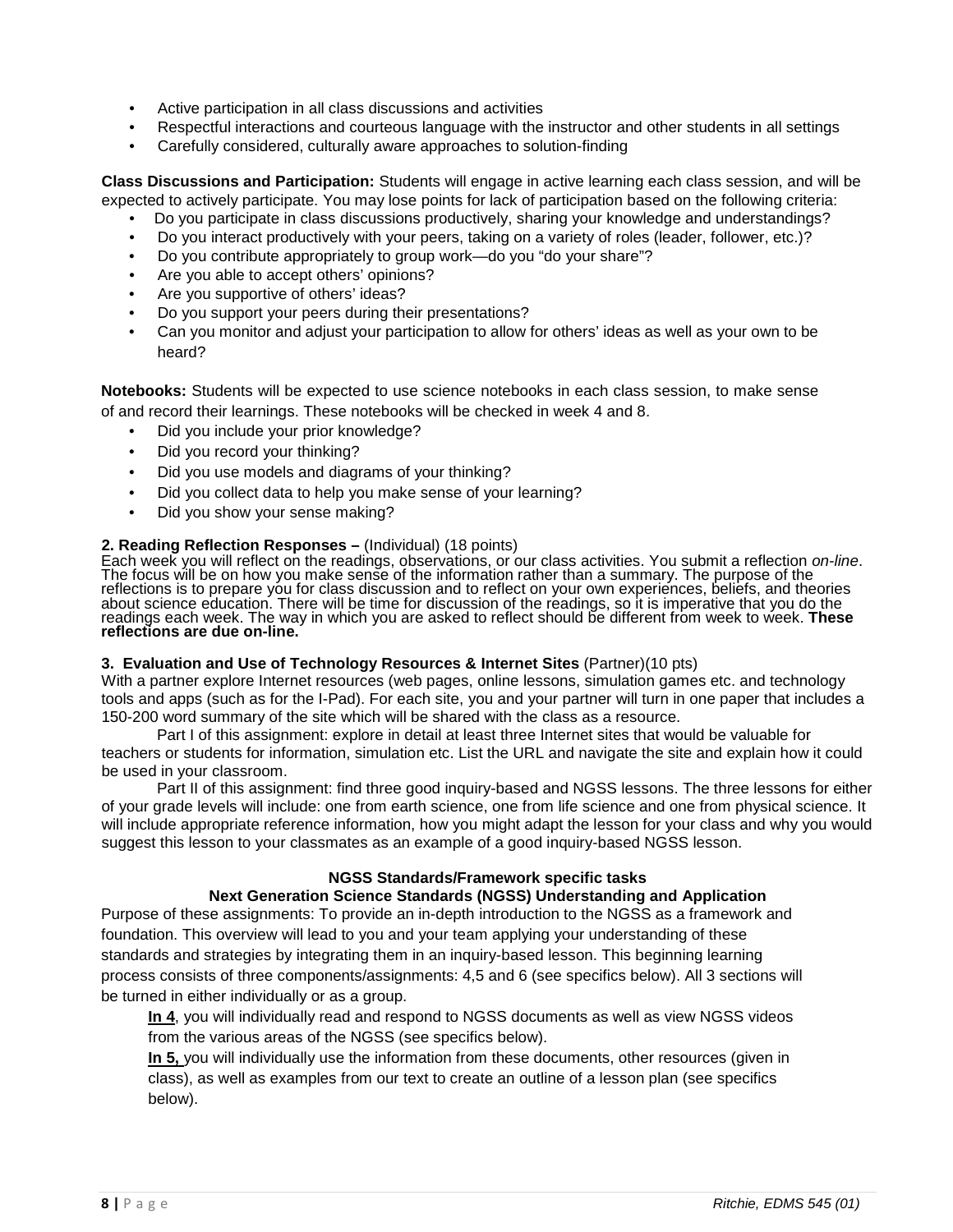- Active participation in all class discussions and activities
- Respectful interactions and courteous language with the instructor and other students in all settings
- Carefully considered, culturally aware approaches to solution-finding

**Class Discussions and Participation:** Students will engage in active learning each class session, and will be expected to actively participate. You may lose points for lack of participation based on the following criteria:

- Do you participate in class discussions productively, sharing your knowledge and understandings?
- Do you interact productively with your peers, taking on a variety of roles (leader, follower, etc.)?
- Do you contribute appropriately to group work—do you "do your share"?
- Are you able to accept others' opinions?
- Are you supportive of others' ideas?
- Do you support your peers during their presentations?
- Can you monitor and adjust your participation to allow for others' ideas as well as your own to be heard?

**Notebooks:** Students will be expected to use science notebooks in each class session, to make sense of and record their learnings. These notebooks will be checked in week 4 and 8.

- Did you include your prior knowledge?
- Did you record your thinking?
- Did you use models and diagrams of your thinking?
- Did you collect data to help you make sense of your learning?
- Did you show your sense making?

## **2. Reading Reflection Responses –** (Individual) (18 points)

Each week you will reflect on the readings, observations, or our class activities. You submit a reflection *on-line*. The focus will be on how you make sense of the information rather than a summary. The purpose of the reflections is to prepare you for class discussion and to reflect on your own experiences, beliefs, and theories about science education. There will be time for discussion of the readings, so it is imperative that you do the<br>readings each week. The way in which you are asked to reflect should be different from week to week. These **reflections are due on-line.**

#### **3. Evaluation and Use of Technology Resources & Internet Sites** (Partner)(10 pts)

With a partner explore Internet resources (web pages, online lessons, simulation games etc. and technology tools and apps (such as for the I-Pad). For each site, you and your partner will turn in one paper that includes a 150-200 word summary of the site which will be shared with the class as a resource.

Part I of this assignment: explore in detail at least three Internet sites that would be valuable for teachers or students for information, simulation etc. List the URL and navigate the site and explain how it could be used in your classroom.

Part II of this assignment: find three good inquiry-based and NGSS lessons. The three lessons for either of your grade levels will include: one from earth science, one from life science and one from physical science. It will include appropriate reference information, how you might adapt the lesson for your class and why you would suggest this lesson to your classmates as an example of a good inquiry-based NGSS lesson.

# **NGSS Standards/Framework specific tasks**

## **Next Generation Science Standards (NGSS) Understanding and Application**

Purpose of these assignments: To provide an in-depth introduction to the NGSS as a framework and foundation. This overview will lead to you and your team applying your understanding of these standards and strategies by integrating them in an inquiry-based lesson. This beginning learning process consists of three components/assignments: 4,5 and 6 (see specifics below). All 3 sections will be turned in either individually or as a group.

**In 4**, you will individually read and respond to NGSS documents as well as view NGSS videos from the various areas of the NGSS (see specifics below).

**In 5,** you will individually use the information from these documents, other resources (given in class), as well as examples from our text to create an outline of a lesson plan (see specifics below).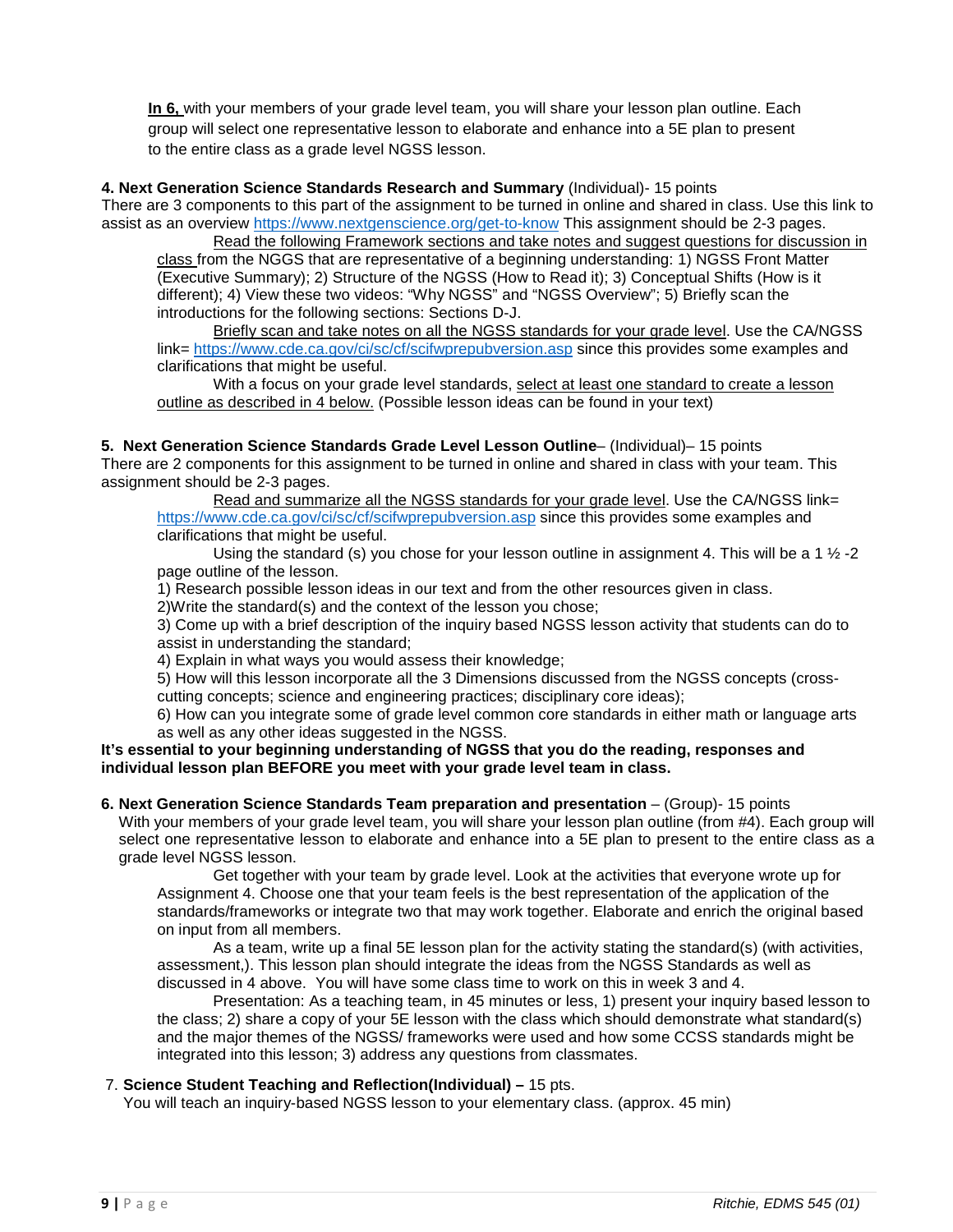**In 6,** with your members of your grade level team, you will share your lesson plan outline. Each group will select one representative lesson to elaborate and enhance into a 5E plan to present to the entire class as a grade level NGSS lesson.

### **4. Next Generation Science Standards Research and Summary** (Individual)- 15 points

There are 3 components to this part of the assignment to be turned in online and shared in class. Use this link to assist as an overview <https://www.nextgenscience.org/get-to-know> This assignment should be 2-3 pages.

Read the following Framework sections and take notes and suggest questions for discussion in class from the NGGS that are representative of a beginning understanding: 1) NGSS Front Matter (Executive Summary); 2) Structure of the NGSS (How to Read it); 3) Conceptual Shifts (How is it different); 4) View these two videos: "Why NGSS" and "NGSS Overview"; 5) Briefly scan the introductions for the following sections: Sections D-J.

Briefly scan and take notes on all the NGSS standards for your grade level. Use the CA/NGSS link=<https://www.cde.ca.gov/ci/sc/cf/scifwprepubversion.asp> since this provides some examples and clarifications that might be useful.

With a focus on your grade level standards, select at least one standard to create a lesson outline as described in 4 below. (Possible lesson ideas can be found in your text)

**5. Next Generation Science Standards Grade Level Lesson Outline**– (Individual)– 15 points There are 2 components for this assignment to be turned in online and shared in class with your team. This assignment should be 2-3 pages.

Read and summarize all the NGSS standards for your grade level. Use the CA/NGSS link= <https://www.cde.ca.gov/ci/sc/cf/scifwprepubversion.asp> since this provides some examples and clarifications that might be useful.

Using the standard (s) you chose for your lesson outline in assignment 4. This will be a 1  $\frac{1}{2}$  -2 page outline of the lesson.

1) Research possible lesson ideas in our text and from the other resources given in class.

2)Write the standard(s) and the context of the lesson you chose;

3) Come up with a brief description of the inquiry based NGSS lesson activity that students can do to assist in understanding the standard;

4) Explain in what ways you would assess their knowledge;

5) How will this lesson incorporate all the 3 Dimensions discussed from the NGSS concepts (crosscutting concepts; science and engineering practices; disciplinary core ideas);

6) How can you integrate some of grade level common core standards in either math or language arts as well as any other ideas suggested in the NGSS.

## **It's essential to your beginning understanding of NGSS that you do the reading, responses and individual lesson plan BEFORE you meet with your grade level team in class.**

**6. Next Generation Science Standards Team preparation and presentation** – (Group)- 15 points With your members of your grade level team, you will share your lesson plan outline (from #4). Each group will select one representative lesson to elaborate and enhance into a 5E plan to present to the entire class as a grade level NGSS lesson.

Get together with your team by grade level. Look at the activities that everyone wrote up for Assignment 4. Choose one that your team feels is the best representation of the application of the standards/frameworks or integrate two that may work together. Elaborate and enrich the original based on input from all members.

As a team, write up a final 5E lesson plan for the activity stating the standard(s) (with activities, assessment,). This lesson plan should integrate the ideas from the NGSS Standards as well as discussed in 4 above. You will have some class time to work on this in week 3 and 4.

Presentation: As a teaching team, in 45 minutes or less, 1) present your inquiry based lesson to the class; 2) share a copy of your 5E lesson with the class which should demonstrate what standard(s) and the major themes of the NGSS/ frameworks were used and how some CCSS standards might be integrated into this lesson; 3) address any questions from classmates.

## 7. **Science Student Teaching and Reflection(Individual) –** 15 pts.

You will teach an inquiry-based NGSS lesson to your elementary class. (approx. 45 min)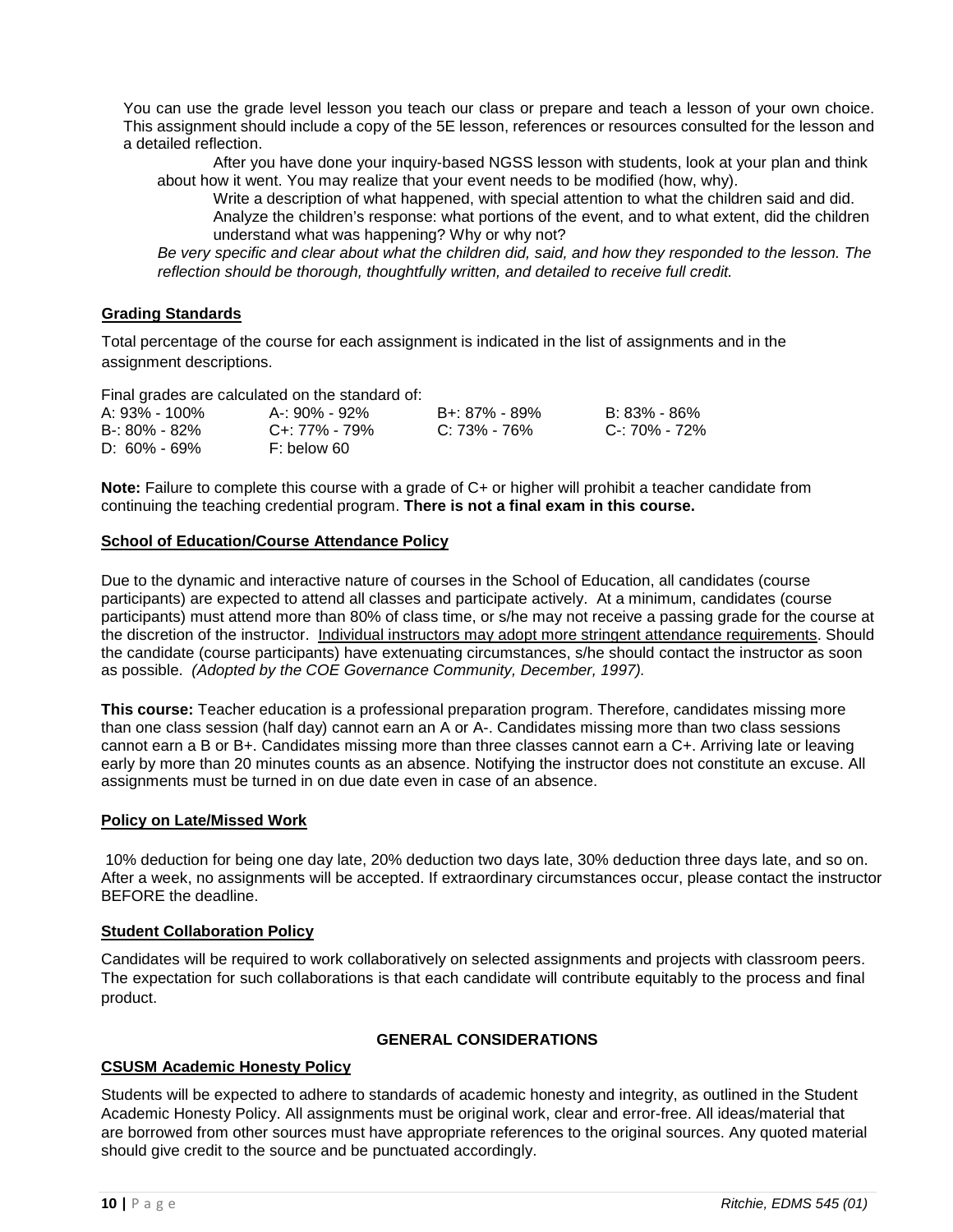You can use the grade level lesson you teach our class or prepare and teach a lesson of your own choice. This assignment should include a copy of the 5E lesson, references or resources consulted for the lesson and a detailed reflection.

After you have done your inquiry-based NGSS lesson with students, look at your plan and think about how it went. You may realize that your event needs to be modified (how, why).

Write a description of what happened, with special attention to what the children said and did. Analyze the children's response: what portions of the event, and to what extent, did the children understand what was happening? Why or why not?

Be very specific and clear about what the children did, said, and how they responded to the *lesson*. The *reflection should be thorough, thoughtfully written, and detailed to receive full credit.*

## **Grading Standards**

Total percentage of the course for each assignment is indicated in the list of assignments and in the assignment descriptions.

Final grades are calculated on the standard of:

| A: 93% - 100%     | A-: 90% - 92% | B+: 87% - 89%    | B: 83% - 86%  |
|-------------------|---------------|------------------|---------------|
| $B - 80\% - 82\%$ | C+: 77% - 79% | $C: 73\% - 76\%$ | C-: 70% - 72% |
| $D: 60\% - 69\%$  | F: below 60   |                  |               |

**Note:** Failure to complete this course with a grade of C+ or higher will prohibit a teacher candidate from continuing the teaching credential program. **There is not a final exam in this course.**

#### **School of Education/Course Attendance Policy**

Due to the dynamic and interactive nature of courses in the School of Education, all candidates (course participants) are expected to attend all classes and participate actively. At a minimum, candidates (course participants) must attend more than 80% of class time, or s/he may not receive a passing grade for the course at the discretion of the instructor. Individual instructors may adopt more stringent attendance requirements. Should the candidate (course participants) have extenuating circumstances, s/he should contact the instructor as soon as possible. *(Adopted by the COE Governance Community, December, 1997).*

**This course:** Teacher education is a professional preparation program. Therefore, candidates missing more than one class session (half day) cannot earn an A or A-. Candidates missing more than two class sessions cannot earn a B or B+. Candidates missing more than three classes cannot earn a C+. Arriving late or leaving early by more than 20 minutes counts as an absence. Notifying the instructor does not constitute an excuse. All assignments must be turned in on due date even in case of an absence.

#### **Policy on Late/Missed Work**

10% deduction for being one day late, 20% deduction two days late, 30% deduction three days late, and so on. After a week, no assignments will be accepted. If extraordinary circumstances occur, please contact the instructor BEFORE the deadline.

#### **Student Collaboration Policy**

Candidates will be required to work collaboratively on selected assignments and projects with classroom peers. The expectation for such collaborations is that each candidate will contribute equitably to the process and final product.

## **GENERAL CONSIDERATIONS**

## **CSUSM Academic Honesty Policy**

Students will be expected to adhere to standards of academic honesty and integrity, as outlined in the Student Academic Honesty Policy. All assignments must be original work, clear and error-free. All ideas/material that are borrowed from other sources must have appropriate references to the original sources. Any quoted material should give credit to the source and be punctuated accordingly.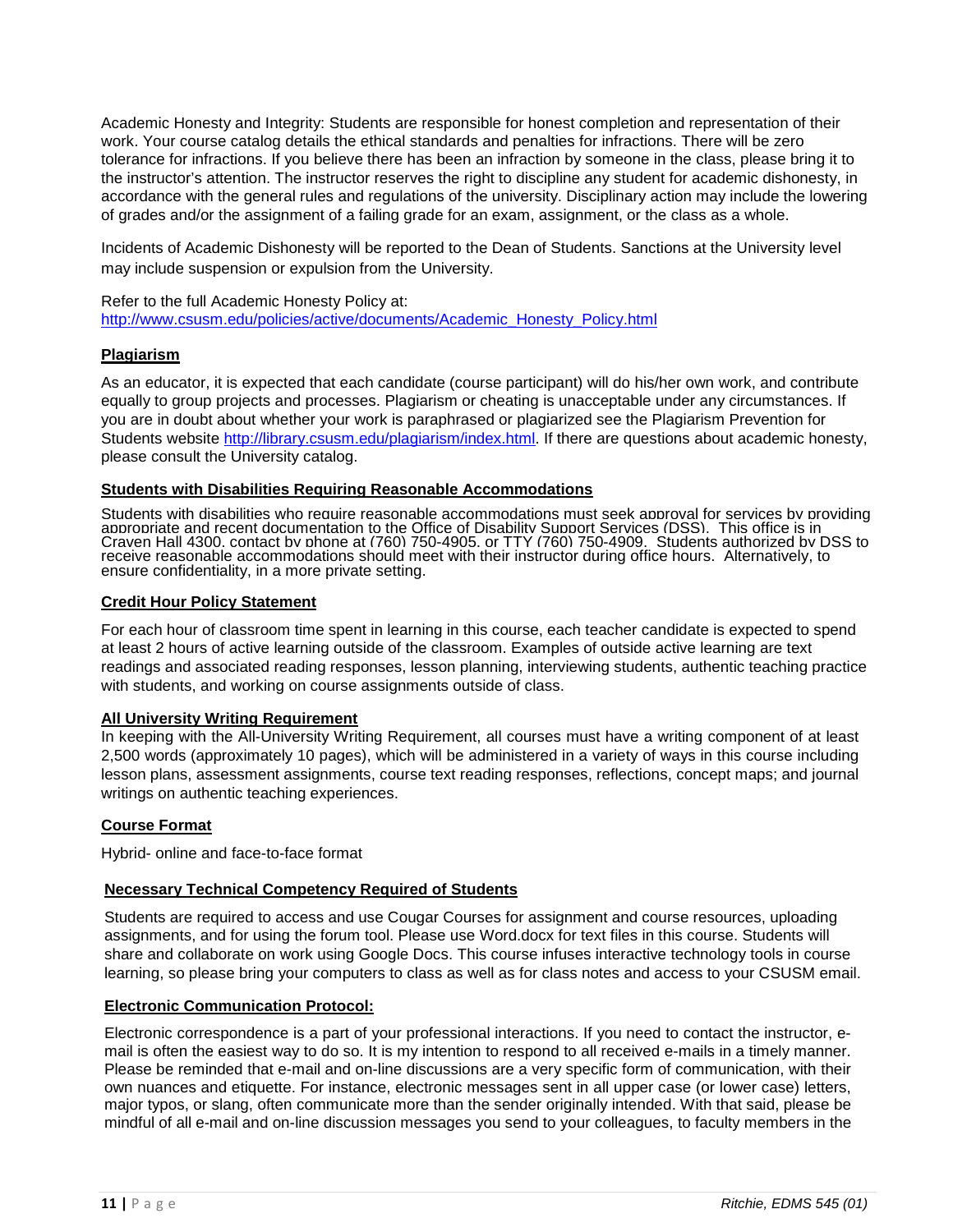Academic Honesty and Integrity: Students are responsible for honest completion and representation of their work. Your course catalog details the ethical standards and penalties for infractions. There will be zero tolerance for infractions. If you believe there has been an infraction by someone in the class, please bring it to the instructor's attention. The instructor reserves the right to discipline any student for academic dishonesty, in accordance with the general rules and regulations of the university. Disciplinary action may include the lowering of grades and/or the assignment of a failing grade for an exam, assignment, or the class as a whole.

Incidents of Academic Dishonesty will be reported to the Dean of Students. Sanctions at the University level may include suspension or expulsion from the University.

Refer to the full Academic Honesty Policy at: [http://www.csusm.edu/policies/active/documents/Academic\\_Honesty\\_Policy.html](http://www.csusm.edu/policies/active/documents/Academic_Honesty_Policy.html)

## **Plagiarism**

As an educator, it is expected that each candidate (course participant) will do his/her own work, and contribute equally to group projects and processes. Plagiarism or cheating is unacceptable under any circumstances. If you are in doubt about whether your work is paraphrased or plagiarized see the Plagiarism Prevention for Students website [http://library.csusm.edu/plagiarism/index.html.](http://library.csusm.edu/plagiarism/index.html) If there are questions about academic honesty, please consult the University catalog.

#### **Students with Disabilities Requiring Reasonable Accommodations**

Students with disabilities who require reasonable accommodations must seek approval for services by providing appropriate and recent documentation to the Office of Disability Support Services (DSS). This office is in Craven Hall 4300. contact bv phone at (760) 750-4905. or TTY (760) 750-4909. Students authorized bv DSS to<br>receive reasonable accommodations should meet with their instructor during office hours. Alternatively, to<br>ensure

## **Credit Hour Policy Statement**

For each hour of classroom time spent in learning in this course, each teacher candidate is expected to spend at least 2 hours of active learning outside of the classroom. Examples of outside active learning are text readings and associated reading responses, lesson planning, interviewing students, authentic teaching practice with students, and working on course assignments outside of class.

#### **All University Writing Requirement**

In keeping with the All-University Writing Requirement, all courses must have a writing component of at least 2,500 words (approximately 10 pages), which will be administered in a variety of ways in this course including lesson plans, assessment assignments, course text reading responses, reflections, concept maps; and journal writings on authentic teaching experiences.

## **Course Format**

Hybrid- online and face-to-face format

## **Necessary Technical Competency Required of Students**

Students are required to access and use Cougar Courses for assignment and course resources, uploading assignments, and for using the forum tool. Please use Word.docx for text files in this course. Students will share and collaborate on work using Google Docs. This course infuses interactive technology tools in course learning, so please bring your computers to class as well as for class notes and access to your CSUSM email.

#### **Electronic Communication Protocol:**

Electronic correspondence is a part of your professional interactions. If you need to contact the instructor, email is often the easiest way to do so. It is my intention to respond to all received e-mails in a timely manner. Please be reminded that e-mail and on-line discussions are a very specific form of communication, with their own nuances and etiquette. For instance, electronic messages sent in all upper case (or lower case) letters, major typos, or slang, often communicate more than the sender originally intended. With that said, please be mindful of all e-mail and on-line discussion messages you send to your colleagues, to faculty members in the